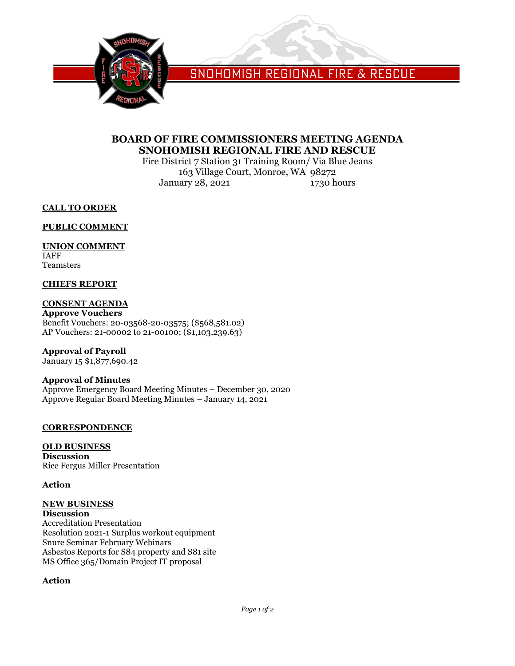

SNOHOMISH REGIONAL FIRE & RESCUE

## **BOARD OF FIRE COMMISSIONERS MEETING AGENDA SNOHOMISH REGIONAL FIRE AND RESCUE**

Fire District 7 Station 31 Training Room/ Via Blue Jeans 163 Village Court, Monroe, WA 98272 January 28, 2021 1730 hours

**CALL TO ORDER**

**PUBLIC COMMENT**

### **UNION COMMENT**

IAFF Teamsters

#### **CHIEFS REPORT**

**CONSENT AGENDA Approve Vouchers** Benefit Vouchers: 20-03568-20-03575; (\$568,581.02) AP Vouchers: 21-00002 to 21-00100; (\$1,103,239.63)

**Approval of Payroll**

January 15 \$1,877,690.42

# **Approval of Minutes**

Approve Emergency Board Meeting Minutes – December 30, 2020 Approve Regular Board Meeting Minutes – January 14, 2021

#### **CORRESPONDENCE**

**OLD BUSINESS Discussion** Rice Fergus Miller Presentation

#### **Action**

#### **NEW BUSINESS Discussion**

Accreditation Presentation Resolution 2021-1 Surplus workout equipment Snure Seminar February Webinars Asbestos Reports for S84 property and S81 site MS Office 365/Domain Project IT proposal

#### **Action**